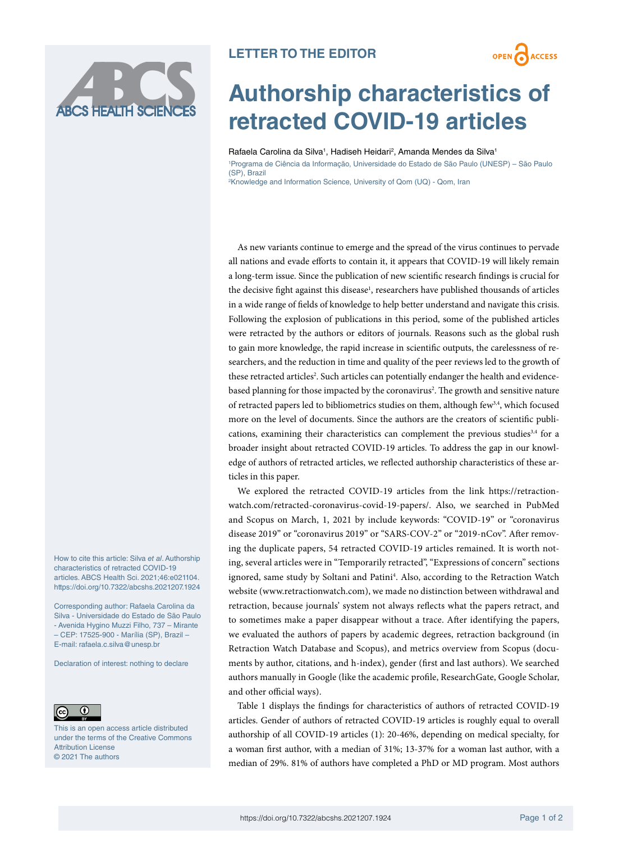

## **LETTER TO THE EDITOR**



## **Authorship characteristics of retracted COVID-19 articles**

Rafaela Carolina da Silva<sup>1</sup>, Hadiseh Heidari<sup>2</sup>, Amanda Mendes da Silva<sup>1</sup> 1 Programa de Ciência da Informação, Universidade do Estado de São Paulo (UNESP) – São Paulo (SP), Brazil 2 Knowledge and Information Science, University of Qom (UQ) - Qom, Iran

As new variants continue to emerge and the spread of the virus continues to pervade all nations and evade efforts to contain it, it appears that COVID-19 will likely remain a long-term issue. Since the publication of new scientific research findings is crucial for the decisive fight against this disease<sup>1</sup>, researchers have published thousands of articles in a wide range of fields of knowledge to help better understand and navigate this crisis. Following the explosion of publications in this period, some of the published articles were retracted by the authors or editors of journals. Reasons such as the global rush to gain more knowledge, the rapid increase in scientific outputs, the carelessness of researchers, and the reduction in time and quality of the peer reviews led to the growth of these retracted articles<sup>2</sup>. Such articles can potentially endanger the health and evidencebased planning for those impacted by the coronavirus<sup>2</sup>. The growth and sensitive nature of retracted papers led to bibliometrics studies on them, although few<sup>3,4</sup>, which focused more on the level of documents. Since the authors are the creators of scientific publications, examining their characteristics can complement the previous studies $34$  for a broader insight about retracted COVID-19 articles. To address the gap in our knowledge of authors of retracted articles, we reflected authorship characteristics of these articles in this paper.

We explored the retracted COVID-19 articles from the link [https://retraction](https://retractionwatch.com/retracted-coronavirus-covid-19-papers/)[watch.com/retracted-coronavirus-covid-19-papers/.](https://retractionwatch.com/retracted-coronavirus-covid-19-papers/) Also, we searched in PubMed and Scopus on March, 1, 2021 by include keywords: "COVID-19" or "coronavirus disease 2019" or "coronavirus 2019" or "SARS-COV-2" or "2019-nCov". After removing the duplicate papers, 54 retracted COVID-19 articles remained. It is worth noting, several articles were in "Temporarily retracted", "Expressions of concern" sections ignored, same study by Soltani and Patini<sup>4</sup>. Also, according to the Retraction Watch website ([www.retractionwatch.com](http://www.retractionwatch.com)), we made no distinction between withdrawal and retraction, because journals' system not always reflects what the papers retract, and to sometimes make a paper disappear without a trace. After identifying the papers, we evaluated the authors of papers by academic degrees, retraction background (in Retraction Watch Database and Scopus), and metrics overview from Scopus (documents by author, citations, and h-index), gender (first and last authors). We searched authors manually in Google (like the academic profile, ResearchGate, Google Scholar, and other official ways).

Table 1 displays the findings for characteristics of authors of retracted COVID-19 articles. Gender of authors of retracted COVID-19 articles is roughly equal to overall authorship of all COVID-19 articles (1): 20-46%, depending on medical specialty, for a woman first author, with a median of 31%; 13-37% for a woman last author, with a median of 29%. 81% of authors have completed a PhD or MD program. Most authors

How to cite this article: Silva *et al*. Authorship characteristics of retracted COVID-19 articles. ABCS Health Sci. 2021;46:e021104. [https://doi.org/10.7322/abcshs.2021207.1924](https://doi.org/10.7322﻿/abcshs.2021207.1924)

Corresponding author: Rafaela Carolina da Silva - Universidade do Estado de São Paulo - Avenida Hygino Muzzi Filho, 737 – Mirante – CEP: 17525-900 - Marília (SP), Brazil – E-mail: [rafaela.c.silva@unesp.br](mailto:rafaela.c.silva@unesp.br)

Declaration of interest: nothing to declare



This is an open access article distributed under the terms of the Creative Commons Attribution License © 2021 The authors